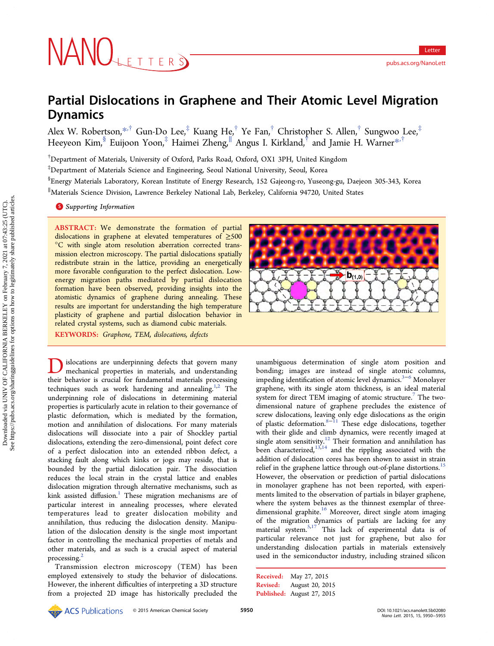# NANOLETTERS

# Partial Dislocations in Graphene and Their Atomic Level Migration Dynamics

Alex W. Robertson,[\\*](#page-4-0),† Gun-Do Lee,‡ Kuang He,† Ye Fan,† Christopher S. Allen,† Sungwoo Lee,‡ Heeyeon Kim, Euijoon Yoon,<sup>‡</sup> Haimei Zheng,<sup>||'</sup> Angus I. Kirkland,<sup>†</sup> and Jamie H. Warner<sup>[\\*](#page-4-0),†</sup>

† Department of Materials, University of Oxford, Parks Road, Oxford, OX1 3PH, United Kingdom

‡ Department of Materials Science and Engineering, Seoul National University, Seoul, Korea

<sup>§</sup>Energy Materials Laboratory, Korean Institute of Energy Research, 152 Gajeong-ro, Yuseong-gu, Daejeon 305-343, Korea ∥ Materials Science Division, Lawrence Berkeley National Lab, Berkeley, California 94720, United States

**S** [Supporting Information](#page-4-0)

ABSTRACT: We demonstrate the formation of partial dislocations in graphene at elevated temperatures of ≥500 °C with single atom resolution aberration corrected transmission electron microscopy. The partial dislocations spatially redistribute strain in the lattice, providing an energetically more favorable configuration to the perfect dislocation. Lowenergy migration paths mediated by partial dislocation formation have been observed, providing insights into the atomistic dynamics of graphene during annealing. These results are important for understanding the high temperature plasticity of graphene and partial dislocation behavior in related crystal systems, such as diamond cubic materials. KEYWORDS: Graphene, TEM, dislocations, defects

**D**islocations are underpinning defects that govern many<br>mechanical properties in materials, and understanding<br>their hoberier is erusial for fundamental materials processing their behavior is crucial for fundamental materials processing techniques such as work hardening and annealing. $1,2$  The underpinning role of dislocations in determining material properties is particularly acute in relation to their governance of plastic deformation, which is mediated by the formation, motion and annihilation of dislocations. For many materials dislocations will dissociate into a pair of Shockley partial dislocations, extending the zero-dimensional, point defect core of a perfect dislocation into an extended ribbon defect, a stacking fault along which kinks or jogs may reside, that is bounded by the partial dislocation pair. The dissociation reduces the local strain in the crystal lattice and enables dislocation migration through alternative mechanisms, such as kink assisted diffusion.<sup>[1](#page-4-0)</sup> These migration mechanisms are of particular interest in annealing processes, where elevated temperatures lead to greater dislocation mobility and annihilation, thus reducing the dislocation density. Manipulation of the dislocation density is the single most important factor in controlling the mechanical properties of metals and other materials, and as such is a crucial aspect of material processing.<sup>[2](#page-4-0)</sup>

Transmission electron microscopy (TEM) has been employed extensively to study the behavior of dislocations. However, the inherent difficulties of interpreting a 3D structure from a projected 2D image has historically precluded the



unambiguous determination of single atom position and bonding; images are instead of single atomic columns, impeding identification of atomic level dynamics.<sup>[3](#page-4-0)−[6](#page-4-0)</sup> Monolayer graphene, with its single atom thickness, is an ideal material system for direct TEM imaging of atomic structure.<sup>[7](#page-4-0)</sup> The twodimensional nature of graphene precludes the existence of screw dislocations, leaving only edge dislocations as the origin of plastic deformation.[8](#page-4-0)−[11](#page-4-0) These edge dislocations, together with their glide and climb dynamics, were recently imaged at single atom sensitivity.<sup>[12](#page-4-0)</sup> Their formation and annihilation has been characterized,<sup>[13,14](#page-4-0)</sup> and the rippling associated with the addition of dislocation cores has been shown to assist in strain relief in the graphene lattice through out-of-plane distortions.<sup>[15](#page-4-0)</sup> However, the observation or prediction of partial dislocations in monolayer graphene has not been reported, with experiments limited to the observation of partials in bilayer graphene, where the system behaves as the thinnest exemplar of three-dimensional graphite.<sup>[16](#page-4-0)</sup> Moreover, direct single atom imaging of the migration dynamics of partials are lacking for any material system.<sup>[5,17](#page-4-0)</sup> This lack of experimental data is of particular relevance not just for graphene, but also for understanding dislocation partials in materials extensively used in the semiconductor industry, including strained silicon

Received: May 27, 2015 Revised: August 20, 2015 Published: August 27, 2015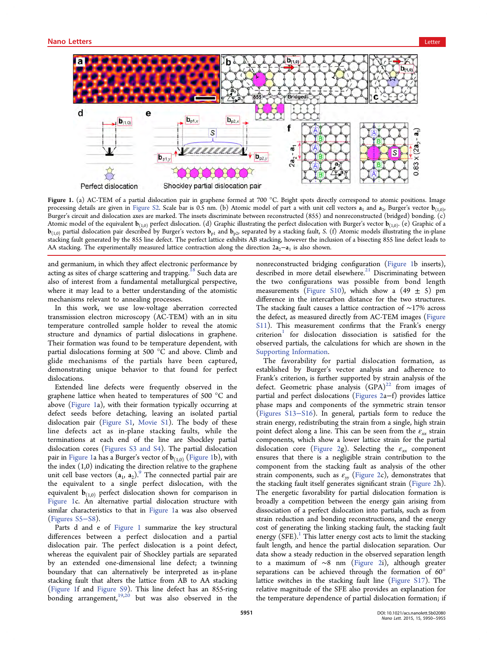

Figure 1. (a) AC-TEM of a partial dislocation pair in graphene formed at 700  $^{\circ}$ C. Bright spots directly correspond to atomic positions. Image processing details are given in [Figure S2](http://pubs.acs.org/doi/suppl/10.1021/acs.nanolett.5b02080/suppl_file/nl5b02080_si_003.pdf). Scale bar is 0.5 nm. (b) Atomic model of part a with unit cell vectors  $a_1$  and  $a_2$ , Burger's vector  $b_{(1,0)}$ , Burger's circuit and dislocation axes are marked. The insets discriminate between reconstructed (855) and nonreconstructed (bridged) bonding. (c) Atomic model of the equivalent  $\mathbf{b}_{(1,0)}$  perfect dislocation. (d) Graphic illustrating the perfect dislocation with Burger's vector  $\mathbf{b}_{(1,0)}$ . (e) Graphic of a  **partial dislocation pair described by Burger's vectors**  $**b**<sub>p1</sub>$  **and**  $**b**<sub>p2</sub>$ **, separated by a stacking fault, S. (f) Atomic models illustrating the in-plane** stacking fault generated by the 855 line defect. The perfect lattice exhibits AB stacking, however the inclusion of a bisecting 855 line defect leads to AA stacking. The experimentally measured lattice contraction along the direction  $2a_2-a_1$  is also shown.

and germanium, in which they affect electronic performance by acting as sites of charge scattering and trapping.<sup>[18](#page-4-0)</sup> Such data are also of interest from a fundamental metallurgical perspective, where it may lead to a better understanding of the atomistic mechanisms relevant to annealing processes.

In this work, we use low-voltage aberration corrected transmission electron microscopy (AC-TEM) with an in situ temperature controlled sample holder to reveal the atomic structure and dynamics of partial dislocations in graphene. Their formation was found to be temperature dependent, with partial dislocations forming at 500 °C and above. Climb and glide mechanisms of the partials have been captured, demonstrating unique behavior to that found for perfect dislocations.

Extended line defects were frequently observed in the graphene lattice when heated to temperatures of 500 °C and above (Figure 1a), with their formation typically occurring at defect seeds before detaching, leaving an isolated partial dislocation pair ([Figure S1](http://pubs.acs.org/doi/suppl/10.1021/acs.nanolett.5b02080/suppl_file/nl5b02080_si_003.pdf), [Movie S1](http://pubs.acs.org/doi/suppl/10.1021/acs.nanolett.5b02080/suppl_file/nl5b02080_si_001.avi)). The body of these line defects act as in-plane stacking faults, while the terminations at each end of the line are Shockley partial dislocation cores [\(Figures S3 and S4\)](http://pubs.acs.org/doi/suppl/10.1021/acs.nanolett.5b02080/suppl_file/nl5b02080_si_003.pdf). The partial dislocation pair in Figure 1a has a Burger's vector of  $\mathbf{b}_{(1,0)}$  (Figure 1b), with the index  $(1,0)$  indicating the direction relative to the graphene unit cell base vectors  $(a_1, a_2)$ . The connected partial pair are the equivalent to a single perfect dislocation, with the equivalent  $\mathbf{b}_{(1,0)}$  perfect dislocation shown for comparison in Figure 1c. An alternative partial dislocation structure with similar characteristics to that in Figure 1a was also observed [\(Figures S5](http://pubs.acs.org/doi/suppl/10.1021/acs.nanolett.5b02080/suppl_file/nl5b02080_si_003.pdf)−S8).

Parts d and e of Figure 1 summarize the key structural differences between a perfect dislocation and a partial dislocation pair. The perfect dislocation is a point defect, whereas the equivalent pair of Shockley partials are separated by an extended one-dimensional line defect; a twinning boundary that can alternatively be interpreted as in-plane stacking fault that alters the lattice from AB to AA stacking (Figure 1f and [Figure S9](http://pubs.acs.org/doi/suppl/10.1021/acs.nanolett.5b02080/suppl_file/nl5b02080_si_003.pdf)). This line defect has an 855-ring bonding arrangement,  $19,20$  $19,20$  $19,20$  but was also observed in the

nonreconstructed bridging configuration (Figure 1b inserts), described in more detail elsewhere. $21$  Discriminating between the two configurations was possible from bond length measurements [\(Figure S10](http://pubs.acs.org/doi/suppl/10.1021/acs.nanolett.5b02080/suppl_file/nl5b02080_si_003.pdf)), which show a  $(49 \pm 5)$  pm difference in the intercarbon distance for the two structures. The stacking fault causes a lattice contraction of ∼17% across the defect, as measured directly from AC-TEM images [\(Figure](http://pubs.acs.org/doi/suppl/10.1021/acs.nanolett.5b02080/suppl_file/nl5b02080_si_003.pdf) [S11\)](http://pubs.acs.org/doi/suppl/10.1021/acs.nanolett.5b02080/suppl_file/nl5b02080_si_003.pdf). This measurement confirms that the Frank's energy  $criterion<sup>1</sup>$  $criterion<sup>1</sup>$  $criterion<sup>1</sup>$  for dislocation dissociation is satisfied for the observed partials, the calculations for which are shown in the [Supporting Information](#page-4-0).

The favorability for partial dislocation formation, as established by Burger's vector analysis and adherence to Frank's criterion, is further supported by strain analysis of the defect. Geometric phase analysis  $(GPA)^{22}$  $(GPA)^{22}$  $(GPA)^{22}$  from images of partial and perfect dislocations ([Figures 2a](#page-2-0)−f) provides lattice phase maps and components of the symmetric strain tensor [\(Figures S13](http://pubs.acs.org/doi/suppl/10.1021/acs.nanolett.5b02080/suppl_file/nl5b02080_si_003.pdf)−S16). In general, partials form to reduce the strain energy, redistributing the strain from a single, high strain point defect along a line. This can be seen from the  $\varepsilon_{xx}$  strain components, which show a lower lattice strain for the partial dislocation core [\(Figure 2g](#page-2-0)). Selecting the  $\varepsilon_{xx}$  component ensures that there is a negligible strain contribution to the component from the stacking fault as analysis of the other strain components, such as  $\varepsilon_{yy}$  ([Figure 2](#page-2-0)c), demonstrates that the stacking fault itself generates significant strain ([Figure 2h](#page-2-0)). The energetic favorability for partial dislocation formation is broadly a competition between the energy gain arising from dissociation of a perfect dislocation into partials, such as from strain reduction and bonding reconstructions, and the energy cost of generating the linking stacking fault, the stacking fault energy  $(SFE)^{1}$  $(SFE)^{1}$  $(SFE)^{1}$ . This latter energy cost acts to limit the stacking fault length, and hence the partial dislocation separation. Our data show a steady reduction in the observed separation length to a maximum of ∼8 nm ([Figure 2](#page-2-0)i), although greater separations can be achieved through the formation of 60° lattice switches in the stacking fault line [\(Figure S17](http://pubs.acs.org/doi/suppl/10.1021/acs.nanolett.5b02080/suppl_file/nl5b02080_si_003.pdf)). The relative magnitude of the SFE also provides an explanation for the temperature dependence of partial dislocation formation; if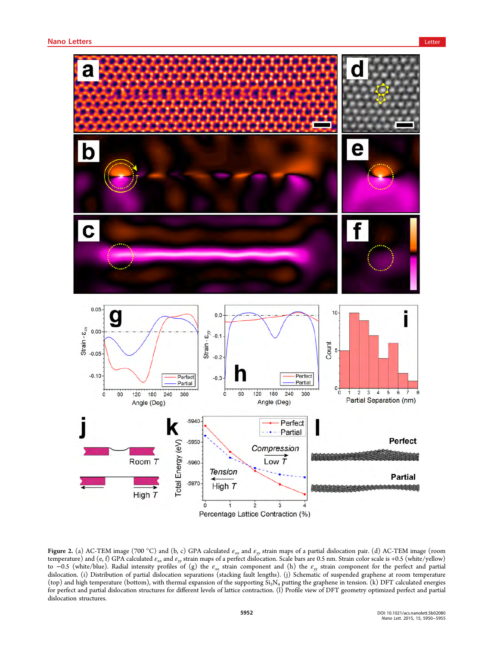<span id="page-2-0"></span>

Figure 2. (a) AC-TEM image (700 °C) and (b, c) GPA calculated  $\varepsilon_{xx}$  and  $\varepsilon_{yy}$  strain maps of a partial dislocation pair. (d) AC-TEM image (room temperature) and (e, f) GPA calculated  $\varepsilon_{xx}$  and  $\varepsilon_{yy}$  strain maps of a perfect dislocation. Scale bars are 0.5 nm. Strain color scale is +0.5 (white/yellow) to -0.5 (white/blue). Radial intensity profiles of (g) the  $\varepsilon_{xx}$  strain component and (h) the  $\varepsilon_{yy}$  strain component for the perfect and partial dislocation. (i) Distribution of partial dislocation separations (stacking fault lengths). (j) Schematic of suspended graphene at room temperature (top) and high temperature (bottom), with thermal expansion of the supporting  $Si<sub>3</sub>N<sub>4</sub>$  putting the graphene in tension. (k) DFT calculated energies for perfect and partial dislocation structures for different levels of lattice contraction. (l) Profile view of DFT geometry optimized perfect and partial dislocation structures.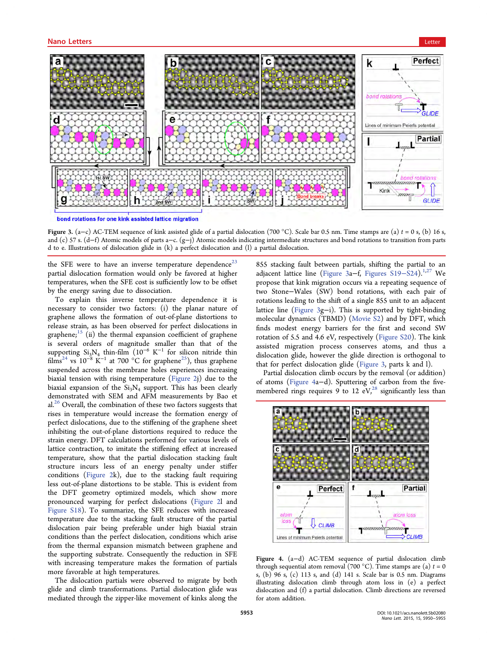<span id="page-3-0"></span>

bond rotations for one kink assisted lattice migration

Figure 3. (a−c) AC-TEM sequence of kink assisted glide of a partial dislocation (700 °C). Scale bar 0.5 nm. Time stamps are (a)  $t = 0$  s, (b) 16 s, and (c) 57 s. (d−f) Atomic models of parts a−c. (g−j) Atomic models indicating intermediate structures and bond rotations to transition from parts d to e. Illustrations of dislocation glide in (k) a perfect dislocation and (l) a partial dislocation.

the SFE were to have an inverse temperature dependence<sup>[23](#page-4-0)</sup> partial dislocation formation would only be favored at higher temperatures, when the SFE cost is sufficiently low to be offset by the energy saving due to dissociation.

To explain this inverse temperature dependence it is necessary to consider two factors: (i) the planar nature of graphene allows the formation of out-of-plane distortions to release strain, as has been observed for perfect dislocations in graphene; $15$  (ii) the thermal expansion coefficient of graphene is several orders of magnitude smaller than that of the supporting  $Si_3N_4$  thin-film (10<sup>-6</sup> K<sup>-1</sup> for silicon nitride thin films<sup>[24](#page-5-0)</sup> vs 10<sup>-8</sup> K<sup>-1</sup> at 700 °C for graphene<sup>25</sup>), thus graphene suspended across the membrane holes experiences increasing biaxial tension with rising temperature [\(Figure 2j](#page-2-0)) due to the biaxial expansion of the  $Si<sub>3</sub>N<sub>4</sub>$  support. This has been clearly demonstrated with SEM and AFM measurements by Bao et al.<sup>[26](#page-5-0)</sup> Overall, the combination of these two factors suggests that rises in temperature would increase the formation energy of perfect dislocations, due to the stiffening of the graphene sheet inhibiting the out-of-plane distortions required to reduce the strain energy. DFT calculations performed for various levels of lattice contraction, to imitate the stiffening effect at increased temperature, show that the partial dislocation stacking fault structure incurs less of an energy penalty under stiffer conditions [\(Figure 2](#page-2-0)k), due to the stacking fault requiring less out-of-plane distortions to be stable. This is evident from the DFT geometry optimized models, which show more pronounced warping for perfect dislocations ([Figure 2](#page-2-0)l and [Figure S18](http://pubs.acs.org/doi/suppl/10.1021/acs.nanolett.5b02080/suppl_file/nl5b02080_si_003.pdf)). To summarize, the SFE reduces with increased temperature due to the stacking fault structure of the partial dislocation pair being preferable under high biaxial strain conditions than the perfect dislocation, conditions which arise from the thermal expansion mismatch between graphene and the supporting substrate. Consequently the reduction in SFE with increasing temperature makes the formation of partials more favorable at high temperatures.

The dislocation partials were observed to migrate by both glide and climb transformations. Partial dislocation glide was mediated through the zipper-like movement of kinks along the

855 stacking fault between partials, shifting the partial to an adjacent lattice line (Figure 3a–f, [Figures S19](http://pubs.acs.org/doi/suppl/10.1021/acs.nanolett.5b02080/suppl_file/nl5b02080_si_003.pdf)–S24).<sup>[1,](#page-4-0)[27](#page-5-0)</sup> We propose that kink migration occurs via a repeating sequence of two Stone−Wales (SW) bond rotations, with each pair of rotations leading to the shift of a single 855 unit to an adjacent lattice line (Figure 3g−i). This is supported by tight-binding molecular dynamics (TBMD) ([Movie S2](http://pubs.acs.org/doi/suppl/10.1021/acs.nanolett.5b02080/suppl_file/nl5b02080_si_002.avi)) and by DFT, which finds modest energy barriers for the first and second SW rotation of 5.5 and 4.6 eV, respectively ([Figure S20\)](http://pubs.acs.org/doi/suppl/10.1021/acs.nanolett.5b02080/suppl_file/nl5b02080_si_003.pdf). The kink assisted migration process conserves atoms, and thus a dislocation glide, however the glide direction is orthogonal to that for perfect dislocation glide (Figure 3, parts k and l).

Partial dislocation climb occurs by the removal (or addition) of atoms (Figure 4a−d). Sputtering of carbon from the fivemembered rings requires  $9$  to 12 eV,<sup>[28](#page-5-0)</sup> significantly less than



Figure 4. (a−d) AC-TEM sequence of partial dislocation climb through sequential atom removal (700 °C). Time stamps are (a)  $t = 0$ s, (b) 96 s, (c) 113 s, and (d) 141 s. Scale bar is 0.5 nm. Diagrams illustrating dislocation climb through atom loss in (e) a perfect dislocation and (f) a partial dislocation. Climb directions are reversed for atom addition.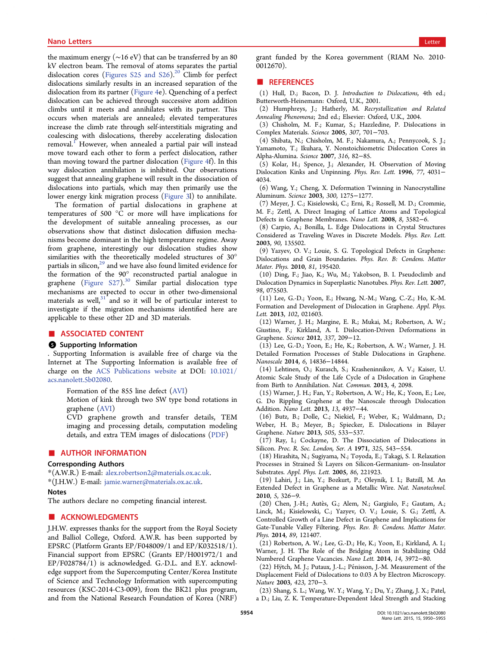<span id="page-4-0"></span>the maximum energy (∼16 eV) that can be transferred by an 80 kV electron beam. The removal of atoms separates the partial dislocation cores [\(Figures S25 and S26](http://pubs.acs.org/doi/suppl/10.1021/acs.nanolett.5b02080/suppl_file/nl5b02080_si_003.pdf)).<sup>20</sup> Climb for perfect dislocations similarly results in an increased separation of the dislocation from its partner ([Figure 4](#page-3-0)e). Quenching of a perfect dislocation can be achieved through successive atom addition climbs until it meets and annihilates with its partner. This occurs when materials are annealed; elevated temperatures increase the climb rate through self-interstitials migrating and coalescing with dislocations, thereby accelerating dislocation removal.<sup>1</sup> However, when annealed a partial pair will instead move toward each other to form a perfect dislocation, rather than moving toward the partner dislocation ([Figure 4f](#page-3-0)). In this way dislocation annihilation is inhibited. Our observations suggest that annealing graphene will result in the dissociation of dislocations into partials, which may then primarily use the lower energy kink migration process ([Figure 3](#page-3-0)l) to annihilate.

The formation of partial dislocations in graphene at temperatures of 500  $^{\circ}\bar{C}$  or more will have implications for the development of suitable annealing processes, as our observations show that distinct dislocation diffusion mechanisms become dominant in the high temperature regime. Away from graphene, interestingly our dislocation studies show similarities with the theoretically modeled structures of 30° partials in silicon, $29$  and we have also found limited evidence for the formation of the 90° reconstructed partial analogue in graphene [\(Figure S27\)](http://pubs.acs.org/doi/suppl/10.1021/acs.nanolett.5b02080/suppl_file/nl5b02080_si_003.pdf).<sup>[30](#page-5-0)</sup> Similar partial dislocation type mechanisms are expected to occur in other two-dimensional materials as well, $31$  and so it will be of particular interest to investigate if the migration mechanisms identified here are applicable to these other 2D and 3D materials.

### ■ ASSOCIATED CONTENT

#### **6** Supporting Information

. Supporting Information is available free of charge via the Internet at The Supporting Information is available free of charge on the [ACS Publications website](http://pubs.acs.org) at DOI: [10.1021/](http://pubs.acs.org/doi/abs/10.1021/acs.nanolett.5b02080) [acs.nanolett.5b02080.](http://pubs.acs.org/doi/abs/10.1021/acs.nanolett.5b02080)

Formation of the 855 line defect [\(AVI\)](http://pubs.acs.org/doi/suppl/10.1021/acs.nanolett.5b02080/suppl_file/nl5b02080_si_001.avi)

Motion of kink through two SW type bond rotations in graphene [\(AVI\)](http://pubs.acs.org/doi/suppl/10.1021/acs.nanolett.5b02080/suppl_file/nl5b02080_si_002.avi)

CVD graphene growth and transfer details, TEM imaging and processing details, computation modeling details, and extra TEM images of dislocations ([PDF](http://pubs.acs.org/doi/suppl/10.1021/acs.nanolett.5b02080/suppl_file/nl5b02080_si_003.pdf))

## ■ AUTHOR INFORMATION

# Corresponding Authors

\*(A.W.R.) E-mail: [alex.robertson2@materials.ox.ac.uk](mailto:alex.robertson2@materials.ox.ac.uk). \*(J.H.W.) E-mail: [jamie.warner@materials.ox.ac.uk](mailto:jamie.warner@materials.ox.ac.uk).

#### Notes

The authors declare no competing financial interest.

## ■ ACKNOWLEDGMENTS

J.H.W. expresses thanks for the support from the Royal Society and Balliol College, Oxford. A.W.R. has been supported by EPSRC (Platform Grants EP/F048009/1 and EP/K032518/1). Financial support from EPSRC (Grants EP/H001972/1 and EP/F028784/1) is acknowledged. G.-D.L. and E.Y. acknowledge support from the Supercomputing Center/Korea Institute of Science and Technology Information with supercomputing resources (KSC-2014-C3-009), from the BK21 plus program, and from the National Research Foundation of Korea (NRF)

grant funded by the Korea government (RIAM No. 2010- 0012670).

### ■ REFERENCES

(1) Hull, D.; Bacon, D. J. Introduction to Dislocations, 4th ed.; Butterworth-Heinemann: Oxford, U.K., 2001.

(2) Humphreys, J.; Hatherly, M. Recrystallization and Related Annealing Phenomena; 2nd ed.; Elsevier: Oxford, U.K., 2004.

(3) Chisholm, M. F.; Kumar, S.; Hazzledine, P. Dislocations in Complex Materials. Science 2005, 307, 701−703.

(4) Shibata, N.; Chisholm, M. F.; Nakamura, A.; Pennycook, S. J.; Yamamoto, T.; Ikuhara, Y. Nonstoichiometric Dislocation Cores in Alpha-Alumina. Science 2007, 316, 82−85.

(5) Kolar, H.; Spence, J.; Alexander, H. Observation of Moving Dislocation Kinks and Unpinning. Phys. Rev. Lett. 1996, 77, 4031− 4034.

(6) Wang, Y.; Cheng, X. Deformation Twinning in Nanocrystalline Aluminum. Science 2003, 300, 1275−1277.

(7) Meyer, J. C.; Kisielowski, C.; Erni, R.; Rossell, M. D.; Crommie, M. F.; Zettl, A. Direct Imaging of Lattice Atoms and Topological Defects in Graphene Membranes. Nano Lett. 2008, 8, 3582−6.

(8) Carpio, A.; Bonilla, L. Edge Dislocations in Crystal Structures Considered as Traveling Waves in Discrete Models. Phys. Rev. Lett. 2003, 90, 135502.

(9) Yazyev, O. V.; Louie, S. G. Topological Defects in Graphene: Dislocations and Grain Boundaries. Phys. Rev. B: Condens. Matter Mater. Phys. 2010, 81, 195420.

(10) Ding, F.; Jiao, K.; Wu, M.; Yakobson, B. I. Pseudoclimb and Dislocation Dynamics in Superplastic Nanotubes. Phys. Rev. Lett. 2007, 98, 075503.

(11) Lee, G.-D.; Yoon, E.; Hwang, N.-M.; Wang, C.-Z.; Ho, K.-M. Formation and Development of Dislocation in Graphene. Appl. Phys. Lett. 2013, 102, 021603.

(12) Warner, J. H.; Margine, E. R.; Mukai, M.; Robertson, A. W.; Giustino, F.; Kirkland, A. I. Dislocation-Driven Deformations in Graphene. Science 2012, 337, 209−12.

(13) Lee, G.-D.; Yoon, E.; He, K.; Robertson, A. W.; Warner, J. H. Detailed Formation Processes of Stable Dislocations in Graphene. Nanoscale 2014, 6, 14836−14844.

(14) Lehtinen, O.; Kurasch, S.; Krasheninnikov, A. V.; Kaiser, U. Atomic Scale Study of the Life Cycle of a Dislocation in Graphene from Birth to Annihilation. Nat. Commun. 2013, 4, 2098.

(15) Warner, J. H.; Fan, Y.; Robertson, A. W.; He, K.; Yoon, E.; Lee, G. Do Rippling Graphene at the Nanoscale through Dislocation Addition. Nano Lett. 2013, 13, 4937−44.

(16) Butz, B.; Dolle, C.; Niekiel, F.; Weber, K.; Waldmann, D.; Weber, H. B.; Meyer, B.; Spiecker, E. Dislocations in Bilayer Graphene. Nature 2013, 505, 533−537.

(17) Ray, I.; Cockayne, D. The Dissociation of Dislocations in Silicon. Proc. R. Soc. London, Ser. A 1971, 325, 543−554.

(18) Hirashita, N.; Sugiyama, N.; Toyoda, E.; Takagi, S. I. Relaxation Processes in Strained Si Layers on Silicon-Germanium- on-Insulator Substrates. Appl. Phys. Lett. 2005, 86, 221923.

(19) Lahiri, J.; Lin, Y.; Bozkurt, P.; Oleynik, I. I.; Batzill, M. An Extended Defect in Graphene as a Metallic Wire. Nat. Nanotechnol. 2010, 5, 326−9.

(20) Chen, J.-H.; Autès, G.; Alem, N.; Gargiulo, F.; Gautam, A.; Linck, M.; Kisielowski, C.; Yazyev, O. V.; Louie, S. G.; Zettl, A. Controlled Growth of a Line Defect in Graphene and Implications for Gate-Tunable Valley Filtering. Phys. Rev. B: Condens. Matter Mater. Phys. 2014, 89, 121407.

(21) Robertson, A. W.; Lee, G.-D.; He, K.; Yoon, E.; Kirkland, A. I.; Warner, J. H. The Role of the Bridging Atom in Stabilizing Odd Numbered Graphene Vacancies. Nano Lett. 2014, 14, 3972−80.

(22) Hÿtch, M. J.; Putaux, J.-L.; Pénisson, J.-M. Measurement of the Displacement Field of Dislocations to 0.03 A by Electron Microscopy. Nature 2003, 423, 270−3.

(23) Shang, S. L.; Wang, W. Y.; Wang, Y.; Du, Y.; Zhang, J. X.; Patel, a D.; Liu, Z. K. Temperature-Dependent Ideal Strength and Stacking